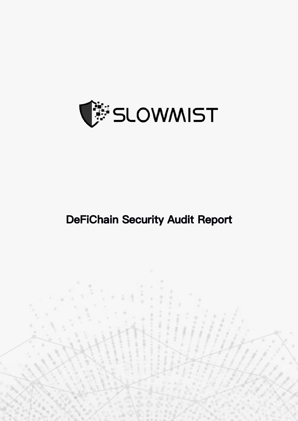

# **DeFiChain Security Audit Report**

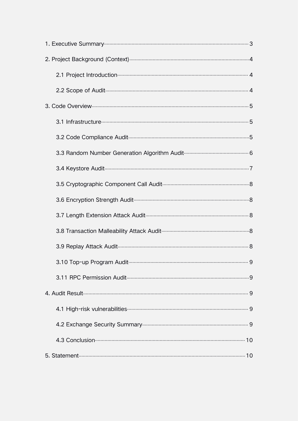| . 9 |  |
|-----|--|
|     |  |
|     |  |
|     |  |
|     |  |
|     |  |
|     |  |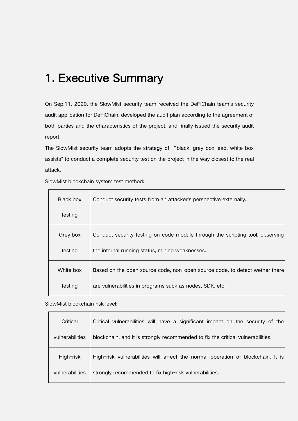## 1. Executive Summary

On Sep.11, 2020, the SlowMist security team received the DeFiChain team's security audit application for DeFiChain, developed the audit plan according to the agreement of both parties and the characteristics of the project, and finally issued the security audit report.

The SlowMist security team adopts the strategy of "black, grey box lead, white box assists" to conduct a complete security test on the project in the way closest to the real attack.

| Black box | Conduct security tests from an attacker's perspective externally.             |
|-----------|-------------------------------------------------------------------------------|
| testing   |                                                                               |
| Grey box  | Conduct security testing on code module through the scripting tool, observing |
| testing   | the internal running status, mining weaknesses.                               |
| White box | Based on the open source code, non-open source code, to detect wether there   |
| testing   | are vulnerabilities in programs suck as nodes, SDK, etc.                      |

SlowMist blockchain system test method:

 $\top$ 

#### SlowMist blockchain risk level:

| Critical        | Critical vulnerabilities will have a significant impact on the security of the  |  |
|-----------------|---------------------------------------------------------------------------------|--|
| vulnerabilities | blockchain, and it is strongly recommended to fix the critical vulnerabilities. |  |
| High-risk       | High-risk vulnerabilities will affect the normal operation of blockchain. It is |  |
| vulnerabilities | strongly recommended to fix high-risk vulnerabilities.                          |  |
|                 |                                                                                 |  |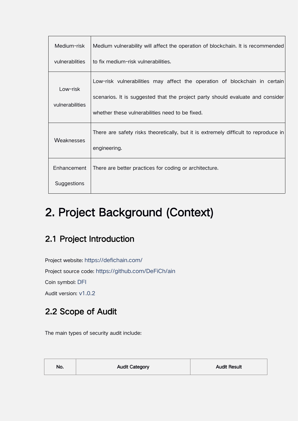| Medium-risk                 | Medium vulnerability will affect the operation of blockchain. It is recommended                                                                                                                                 |  |
|-----------------------------|-----------------------------------------------------------------------------------------------------------------------------------------------------------------------------------------------------------------|--|
| vulnerablities              | to fix medium-risk vulnerabilities.                                                                                                                                                                             |  |
| Low-risk<br>vulnerabilities | Low-risk vulnerabilities may affect the operation of blockchain in certain<br>scenarios. It is suggested that the project party should evaluate and consider<br>whether these vulnerabilities need to be fixed. |  |
| <b>Weaknesses</b>           | There are safety risks theoretically, but it is extremely difficult to reproduce in<br>engineering.                                                                                                             |  |
| Enhancement                 | There are better practices for coding or architecture.                                                                                                                                                          |  |
| Suggestions                 |                                                                                                                                                                                                                 |  |

# 2. Project Background (Context)

### 2.1 Project Introduction

Project website: https://defichain.com/ Project source code: https://github.com/DeFiCh/ain Coin symbol: DFI Audit version: v1.0.2

## 2.2 Scope of Audit

The main types of security audit include:

| No. | <b>Audit Category</b> | <b>Audit Result</b> |
|-----|-----------------------|---------------------|
|     |                       |                     |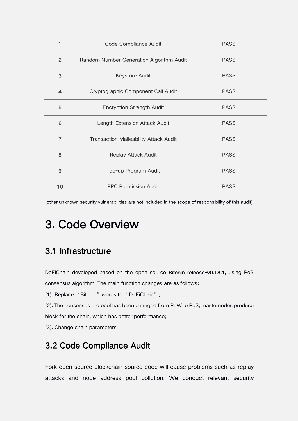| 1              | Code Compliance Audit                        | <b>PASS</b> |  |
|----------------|----------------------------------------------|-------------|--|
| $\overline{2}$ | Random Number Generation Algorithm Audit     | <b>PASS</b> |  |
| 3              | Keystore Audit                               | <b>PASS</b> |  |
| $\overline{4}$ | Cryptographic Component Call Audit           | <b>PASS</b> |  |
| 5              | <b>Encryption Strength Audit</b>             | <b>PASS</b> |  |
| 6              | Length Extension Attack Audit                | <b>PASS</b> |  |
| 7              | <b>Transaction Malleability Attack Audit</b> | <b>PASS</b> |  |
| 8              | Replay Attack Audit                          | <b>PASS</b> |  |
| 9              | Top-up Program Audit                         | <b>PASS</b> |  |
| 10             | <b>RPC Permission Audit</b>                  | <b>PASS</b> |  |

(other unknown security vulnerabilities are not included in the scope of responsibility of this audit)

# 3. Code Overview

#### 3.1 Infrastructure

DeFiChain developed based on the open source Bitcoin release-v0.18.1, using PoS consensus algorithm, The main function changes are as follows:

(1). Replace "Bitcoin" words to "DeFiChain";

(2). The consensus protocol has been changed from PoW to PoS, masternodes produce

block for the chain, which has better performance;

(3). Change chain parameters.

#### 3.2 Code Compliance Audit

Fork open source blockchain source code will cause problems such as replay attacks and node address pool pollution. We conduct relevant security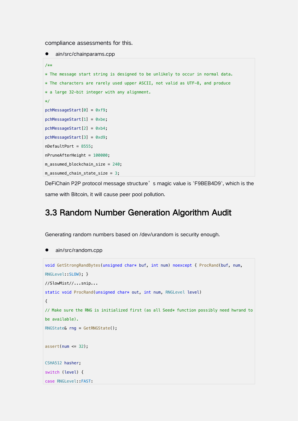compliance assessments for this.

```
• ain/src/chainparams.cpp
/**
* The message start string is designed to be unlikely to occur in normal data.
* The characters are rarely used upper ASCII, not valid as UTF-8, and produce
* a large 32-bit integer with any alignment.
\star/
pchMessageStart[0] = 0xf9;
pchMessageStart[1] = 0xbe;
pchMessageStart[2] = 0xb4;
pchMessageStart[3] = 0xd9;
nDefaultPort = 8555;
nPruneAfterHeight = 100000;
m_assumed_blockchain_size = 240;
m_assumed_chain_state_size = 3;
```
DeFiChain P2P protocol message structure's magic value is `F9BEB4D9`, which is the same with Bitcoin, it will cause peer pool pollution.

#### 3.3 Random Number Generation Algorithm Audit

Generating random numbers based on /dev/urandom is security enough.

```
 ain/src/random.cpp
```

```
void GetStrongRandBytes(unsigned char* buf, int num) noexcept { ProcRand(buf, num,
RNGLevel: SLOW); }
//SlowMist//...snip...
static void ProcRand(unsigned char* out, int num, RNGLevel level)
\{// Make sure the RNG is initialized first (as all Seed* function possibly need hwrand to
be available).
RNGState& rng = GetRNGState();
assert(num \leq 32);CSHA512 hasher;
switch (level) {
case RNGLevel::FAST:
```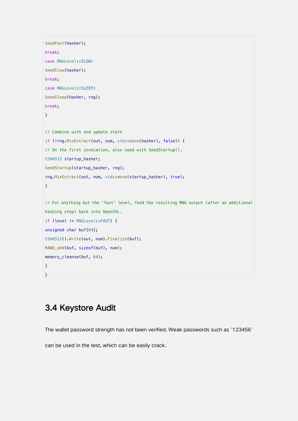```
SeedFast(hasher);
break;
case RNGLevel::SLOW:
SeedSlow(hasher);
break;
case RNGLevel::SLEEP:
SeedSleep(hasher, rng);
break;
}
// Combine with and update state
if (!rng.MixExtract(out, num, std::move(hasher), false)) {
// On the first invocation, also seed with SeedStartup().
CSHA512 startup_hasher;
SeedStartup(startup_hasher, rng);
rng.MixExtract(out, num, std::move(startup_hasher), true);
}
// For anything but the 'fast' level, feed the resulting RNG output (after an additional
hashing step) back into OpenSSL.
if (level != RNGLevel::FAST) {
unsigned char buf[64];
CSHA512().Write(out, num).Finalize(buf);
RAND_add(buf, sizeof(buf), num);
memory_cleanse(buf, 64);
}
}
```
### 3.4 Keystore Audit

The wallet password strength has not been verified. Weak passwords such as `123456`

can be used in the test, which can be easily crack.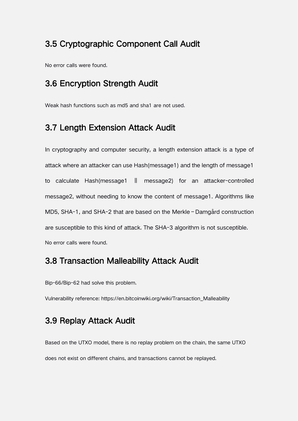#### 3.5 Cryptographic Component Call Audit

No error calls were found.

#### 3.6 Encryption Strength Audit

Weak hash functions such as md5 and sha1 are not used.

#### 3.7 Length Extension Attack Audit

In cryptography and computer security, a length extension attack is a type of attack where an attacker can use Hash(message1) and the length of message1 to calculate Hash(message1 ‖ message2) for an attacker-controlled message2, without needing to know the content of message1. Algorithms like MD5, SHA-1, and SHA-2 that are based on the Merkle–Damgård construction are susceptible to this kind of attack. The SHA-3 algorithm is not susceptible. No error calls were found.

#### 3.8 Transaction Malleability Attack Audit

Bip-66/Bip-62 had solve this problem.

Vulnerability reference: https://en.bitcoinwiki.org/wiki/Transaction\_Malleability

#### 3.9 Replay Attack Audit

Based on the UTXO model, there is no replay problem on the chain, the same UTXO does not exist on different chains, and transactions cannot be replayed.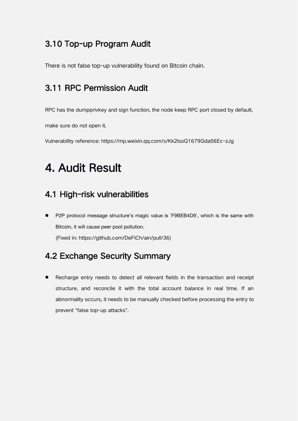### 3.10 Top-up Program Audit

There is not false top-up vulnerability found on Bitcoin chain.

### 3.11 RPC Permission Audit

RPC has the dumpprivkey and sign function, the node keep RPC port closed by default,

make sure do not open it.

Vulnerability reference: https://mp.weixin.qq.com/s/Kk2lsoQ1679Gda56Ec-zJg

# 4. Audit Result

### 4.1 High-risk vulnerabilities

 P2P protocol message structure's magic value is `F9BEB4D9`, which is the same with Bitcoin, it will cause peer pool pollution. (Fixed in: https://github.com/DeFiCh/ain/pull/36)

### 4.2 Exchange Security Summary

 Recharge entry needs to detect all relevant fields in the transaction and receipt structure, and reconcile it with the total account balance in real time. If an abnormality occurs, it needs to be manually checked before processing the entry to prevent "false top-up attacks".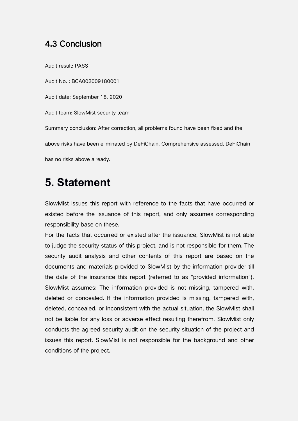#### 4.3 Conclusion

Audit result: PASS

Audit No. : BCA002009180001 Audit date: September 18,2020 Audit team: SlowMist security team Summary conclusion: After correction, all problems found have been fixed and the above risks have been eliminated by DeFiChain. Comprehensive assessed, DeFiChain has no risks above already.

## **5. Statement**

SlowMist issues this report with reference to the facts that have occurred or existed before the issuance of this report, and only assumes corresponding responsibility base on these.

For the facts that occurred or existed after the issuance, SlowMist is not able to judge the security status of this project, and is not responsible for them. The security audit analysis and other contents of this report are based on the documents and materials provided to SlowMist by the information provider till the date of the insurance this report (referred to as "provided information"). SlowMist assumes: The information provided is not missing, tampered with, deleted or concealed. If the information provided is missing, tampered with, deleted, concealed, or inconsistent with the actual situation, the SlowMist shall not be liable for any loss or adverse effect resulting therefrom. SlowMist only conducts the agreed security audit on the security situation of the project and issues this report. SlowMist is not responsible for the background and other conditions of the project.